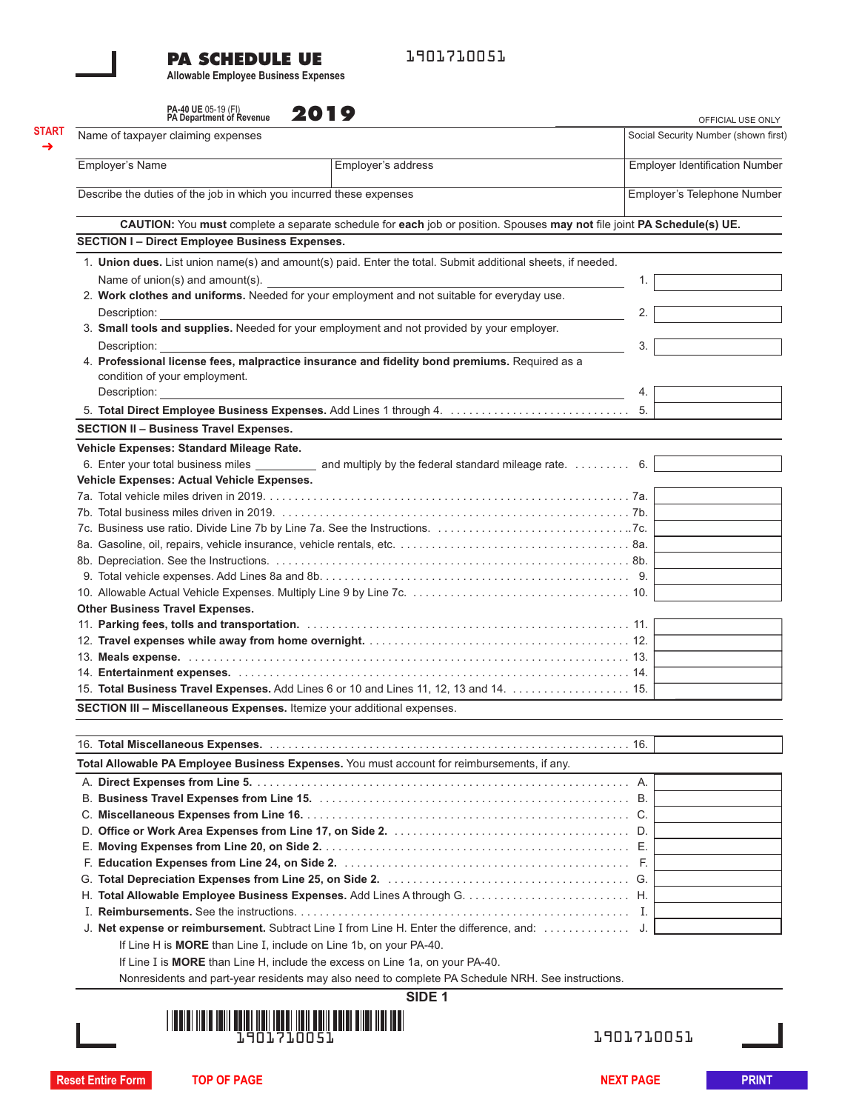#### **PA SCHEDULE UE**

1901710051

**Allowable Employee Business Expenses**

**START** ➜

| PA-40 UE 05-19 (FI)<br>PA Department of Revenue                     | 2019                                                                                                                   |                                                           |  |  |  |
|---------------------------------------------------------------------|------------------------------------------------------------------------------------------------------------------------|-----------------------------------------------------------|--|--|--|
| Name of taxpayer claiming expenses                                  |                                                                                                                        | OFFICIAL USE ONLY<br>Social Security Number (shown first) |  |  |  |
|                                                                     |                                                                                                                        |                                                           |  |  |  |
| Employer's Name                                                     | Employer's address                                                                                                     | <b>Employer Identification Number</b>                     |  |  |  |
| Describe the duties of the job in which you incurred these expenses | Employer's Telephone Number                                                                                            |                                                           |  |  |  |
|                                                                     | CAUTION: You must complete a separate schedule for each job or position. Spouses may not file joint PA Schedule(s) UE. |                                                           |  |  |  |
| <b>SECTION I- Direct Employee Business Expenses.</b>                |                                                                                                                        |                                                           |  |  |  |
|                                                                     | 1. Union dues. List union name(s) and amount(s) paid. Enter the total. Submit additional sheets, if needed.            |                                                           |  |  |  |
| Name of union(s) and amount(s).                                     |                                                                                                                        | 1.                                                        |  |  |  |
|                                                                     | 2. Work clothes and uniforms. Needed for your employment and not suitable for everyday use.                            |                                                           |  |  |  |
| Description:                                                        |                                                                                                                        | 2.                                                        |  |  |  |
|                                                                     | 3. Small tools and supplies. Needed for your employment and not provided by your employer.                             |                                                           |  |  |  |
| Description:                                                        |                                                                                                                        | 3.                                                        |  |  |  |
|                                                                     | 4. Professional license fees, malpractice insurance and fidelity bond premiums. Required as a                          |                                                           |  |  |  |
| condition of your employment.                                       |                                                                                                                        |                                                           |  |  |  |
| Description: <b>Example 2014</b>                                    |                                                                                                                        | 4.                                                        |  |  |  |
| 5. Total Direct Employee Business Expenses. Add Lines 1 through 4.  | 5.                                                                                                                     |                                                           |  |  |  |
| <b>SECTION II - Business Travel Expenses.</b>                       |                                                                                                                        |                                                           |  |  |  |
| Vehicle Expenses: Standard Mileage Rate.                            |                                                                                                                        |                                                           |  |  |  |
|                                                                     | 6. Enter your total business miles ___________ and multiply by the federal standard mileage rate. 6.                   |                                                           |  |  |  |
| Vehicle Expenses: Actual Vehicle Expenses.                          |                                                                                                                        |                                                           |  |  |  |
|                                                                     |                                                                                                                        |                                                           |  |  |  |
|                                                                     |                                                                                                                        |                                                           |  |  |  |
|                                                                     |                                                                                                                        |                                                           |  |  |  |
|                                                                     |                                                                                                                        |                                                           |  |  |  |
|                                                                     |                                                                                                                        |                                                           |  |  |  |
|                                                                     |                                                                                                                        |                                                           |  |  |  |
|                                                                     |                                                                                                                        |                                                           |  |  |  |
| <b>Other Business Travel Expenses.</b>                              |                                                                                                                        |                                                           |  |  |  |
|                                                                     |                                                                                                                        |                                                           |  |  |  |
|                                                                     |                                                                                                                        |                                                           |  |  |  |
|                                                                     |                                                                                                                        |                                                           |  |  |  |
|                                                                     |                                                                                                                        |                                                           |  |  |  |
|                                                                     | 15. Total Business Travel Expenses. Add Lines 6 or 10 and Lines 11, 12, 13 and 14. 15.                                 |                                                           |  |  |  |

**SECTION III – Miscellaneous Expenses.** Itemize your additional expenses.

| Total Allowable PA Employee Business Expenses. You must account for reimbursements, if any.       |  |  |  |  |
|---------------------------------------------------------------------------------------------------|--|--|--|--|
|                                                                                                   |  |  |  |  |
|                                                                                                   |  |  |  |  |
|                                                                                                   |  |  |  |  |
|                                                                                                   |  |  |  |  |
|                                                                                                   |  |  |  |  |
|                                                                                                   |  |  |  |  |
|                                                                                                   |  |  |  |  |
|                                                                                                   |  |  |  |  |
|                                                                                                   |  |  |  |  |
|                                                                                                   |  |  |  |  |
| If Line H is <b>MORE</b> than Line I, include on Line 1b, on your PA-40.                          |  |  |  |  |
| If Line I is <b>MORE</b> than Line H, include the excess on Line 1a, on your PA-40.               |  |  |  |  |
| Nonresidents and part-year residents may also need to complete PA Schedule NRH. See instructions. |  |  |  |  |

**SIDE 1**



1901710051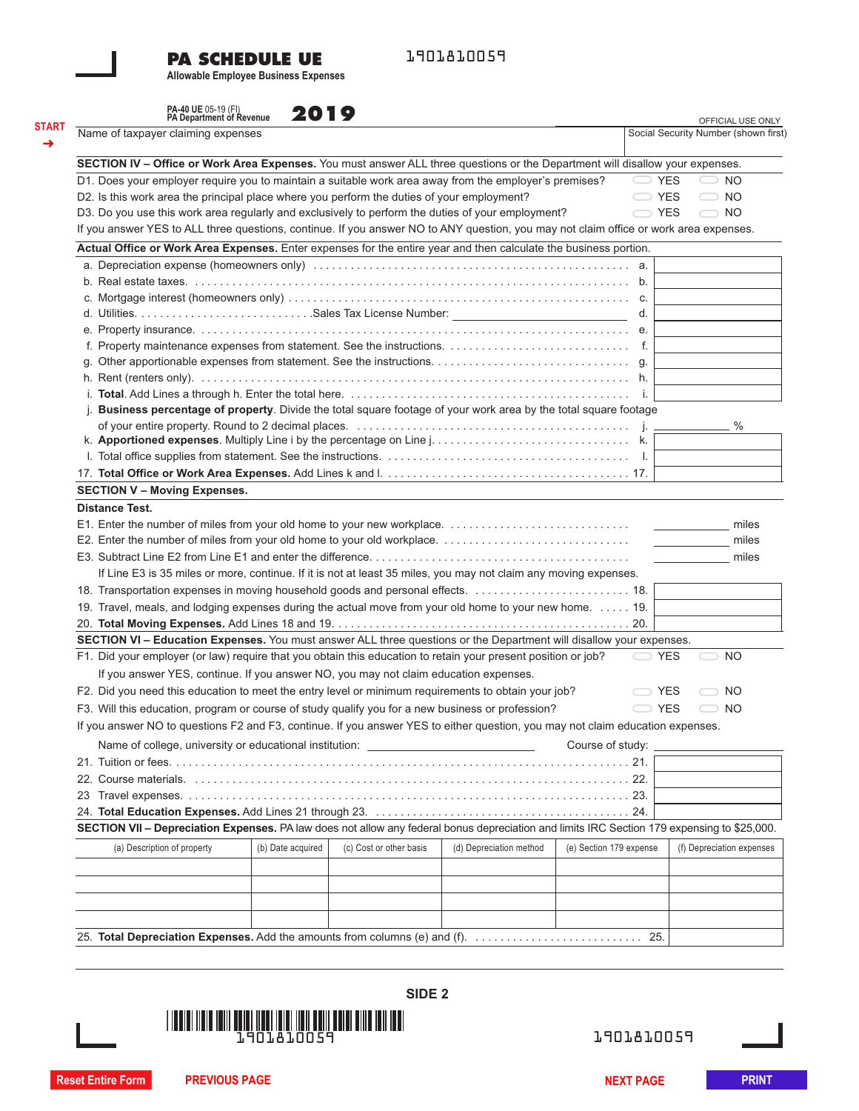## **PA SCHEDULE UE**

1901810059

**Allowable Employee Business Expenses**

|                                                                                                                                       | PA-40 UE 05-19 (FI)<br>PA Department of Revenue<br>2019 |                         |                                                                                                                                             |                         | OFFICIAL USE ONLY<br>Social Security Number (shown first) |
|---------------------------------------------------------------------------------------------------------------------------------------|---------------------------------------------------------|-------------------------|---------------------------------------------------------------------------------------------------------------------------------------------|-------------------------|-----------------------------------------------------------|
| Name of taxpayer claiming expenses                                                                                                    |                                                         |                         |                                                                                                                                             |                         |                                                           |
| SECTION IV - Office or Work Area Expenses. You must answer ALL three questions or the Department will disallow your expenses.         |                                                         |                         |                                                                                                                                             |                         |                                                           |
| D1. Does your employer require you to maintain a suitable work area away from the employer's premises?                                |                                                         |                         |                                                                                                                                             |                         | <b>YES</b><br>NO.                                         |
| D2. Is this work area the principal place where you perform the duties of your employment?                                            |                                                         |                         |                                                                                                                                             | $\supset$ YES           | NO.                                                       |
| D3. Do you use this work area regularly and exclusively to perform the duties of your employment?                                     |                                                         |                         |                                                                                                                                             | $\bigcirc$ YES          | NO.                                                       |
| If you answer YES to ALL three questions, continue. If you answer NO to ANY question, you may not claim office or work area expenses. |                                                         |                         |                                                                                                                                             |                         |                                                           |
| Actual Office or Work Area Expenses. Enter expenses for the entire year and then calculate the business portion.                      |                                                         |                         |                                                                                                                                             |                         |                                                           |
|                                                                                                                                       |                                                         |                         |                                                                                                                                             |                         |                                                           |
|                                                                                                                                       |                                                         |                         |                                                                                                                                             |                         |                                                           |
|                                                                                                                                       |                                                         |                         |                                                                                                                                             |                         |                                                           |
|                                                                                                                                       |                                                         |                         |                                                                                                                                             | d.                      |                                                           |
|                                                                                                                                       |                                                         |                         |                                                                                                                                             |                         |                                                           |
|                                                                                                                                       |                                                         |                         |                                                                                                                                             |                         |                                                           |
|                                                                                                                                       |                                                         |                         |                                                                                                                                             |                         |                                                           |
|                                                                                                                                       |                                                         |                         |                                                                                                                                             |                         |                                                           |
| i.                                                                                                                                    |                                                         |                         |                                                                                                                                             |                         |                                                           |
| Business percentage of property. Divide the total square footage of your work area by the total square footage<br>j.                  |                                                         |                         |                                                                                                                                             |                         |                                                           |
|                                                                                                                                       |                                                         |                         |                                                                                                                                             |                         | %                                                         |
|                                                                                                                                       |                                                         |                         |                                                                                                                                             |                         |                                                           |
|                                                                                                                                       |                                                         |                         |                                                                                                                                             |                         |                                                           |
|                                                                                                                                       |                                                         |                         |                                                                                                                                             |                         |                                                           |
| <b>SECTION V - Moving Expenses.</b>                                                                                                   |                                                         |                         |                                                                                                                                             |                         |                                                           |
|                                                                                                                                       |                                                         |                         |                                                                                                                                             |                         |                                                           |
| <b>Distance Test.</b>                                                                                                                 |                                                         |                         |                                                                                                                                             |                         |                                                           |
|                                                                                                                                       |                                                         |                         |                                                                                                                                             |                         | miles                                                     |
|                                                                                                                                       |                                                         |                         |                                                                                                                                             |                         | miles                                                     |
|                                                                                                                                       |                                                         |                         |                                                                                                                                             |                         | miles                                                     |
| If Line E3 is 35 miles or more, continue. If it is not at least 35 miles, you may not claim any moving expenses.                      |                                                         |                         |                                                                                                                                             |                         |                                                           |
| 18. Transportation expenses in moving household goods and personal effects.  18.                                                      |                                                         |                         |                                                                                                                                             |                         |                                                           |
| 19. Travel, meals, and lodging expenses during the actual move from your old home to your new home. 19.                               |                                                         |                         |                                                                                                                                             |                         |                                                           |
|                                                                                                                                       |                                                         |                         |                                                                                                                                             |                         |                                                           |
| SECTION VI - Education Expenses. You must answer ALL three questions or the Department will disallow your expenses.                   |                                                         |                         |                                                                                                                                             |                         |                                                           |
| F1. Did your employer (or law) require that you obtain this education to retain your present position or job?                         |                                                         |                         |                                                                                                                                             |                         | YES<br>NO.                                                |
| If you answer YES, continue. If you answer NO, you may not claim education expenses.                                                  |                                                         |                         |                                                                                                                                             |                         |                                                           |
| F2. Did you need this education to meet the entry level or minimum requirements to obtain your job?                                   |                                                         |                         |                                                                                                                                             |                         | <b>YES</b><br>NO.                                         |
| F3. Will this education, program or course of study qualify you for a new business or profession?                                     |                                                         |                         |                                                                                                                                             | $\subset$ YES           | NO.                                                       |
| If you answer NO to questions F2 and F3, continue. If you answer YES to either question, you may not claim education expenses.        |                                                         |                         |                                                                                                                                             |                         |                                                           |
|                                                                                                                                       |                                                         |                         |                                                                                                                                             |                         |                                                           |
| Name of college, university or educational institution:                                                                               |                                                         |                         |                                                                                                                                             | Course of study:        |                                                           |
|                                                                                                                                       |                                                         |                         |                                                                                                                                             |                         |                                                           |
|                                                                                                                                       |                                                         |                         |                                                                                                                                             |                         |                                                           |
|                                                                                                                                       |                                                         |                         |                                                                                                                                             |                         |                                                           |
|                                                                                                                                       |                                                         |                         |                                                                                                                                             |                         |                                                           |
|                                                                                                                                       |                                                         |                         | SECTION VII - Depreciation Expenses. PA law does not allow any federal bonus depreciation and limits IRC Section 179 expensing to \$25,000. |                         |                                                           |
|                                                                                                                                       | (b) Date acquired                                       | (c) Cost or other basis | (d) Depreciation method                                                                                                                     | (e) Section 179 expense | (f) Depreciation expenses                                 |
| (a) Description of property                                                                                                           |                                                         |                         |                                                                                                                                             |                         |                                                           |
|                                                                                                                                       |                                                         |                         |                                                                                                                                             |                         |                                                           |
|                                                                                                                                       |                                                         |                         |                                                                                                                                             |                         |                                                           |
|                                                                                                                                       |                                                         |                         |                                                                                                                                             |                         |                                                           |
|                                                                                                                                       |                                                         |                         |                                                                                                                                             |                         |                                                           |



1901810059

**Reset Entire Form PREVIOUS PAGE NEXT PAGE PRINT**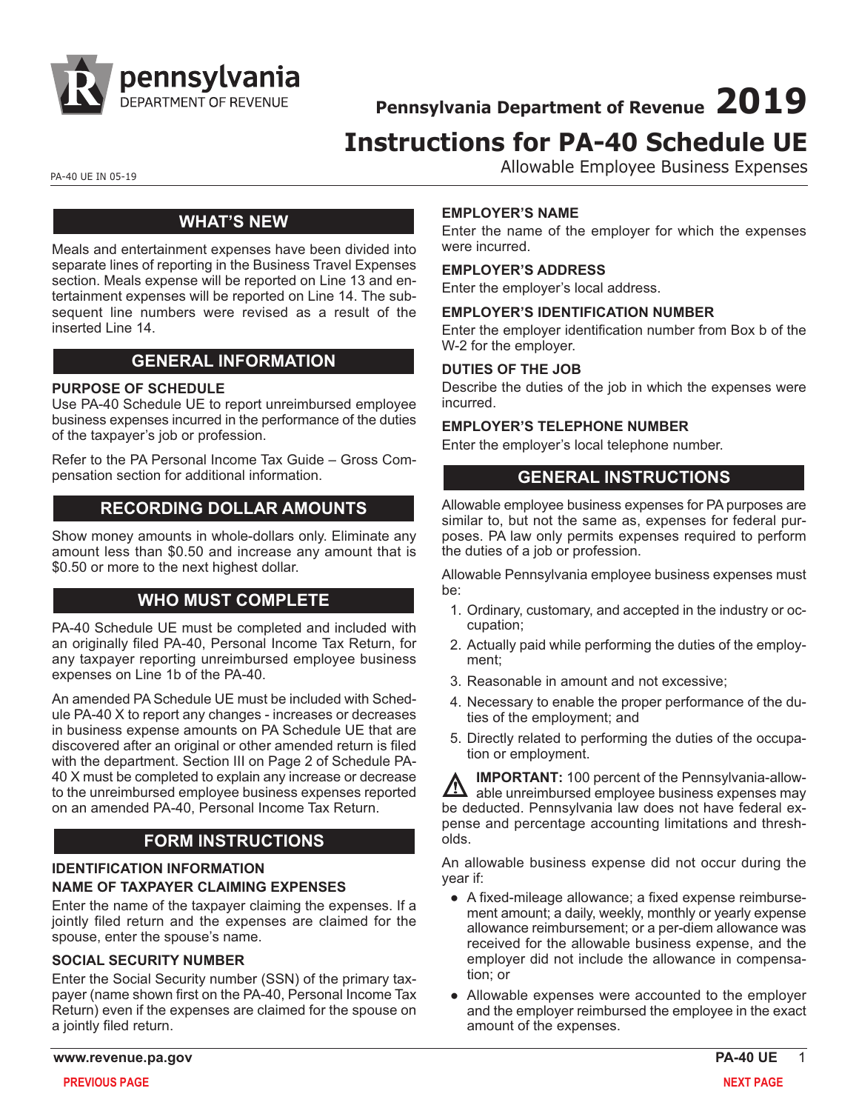

**Pennsylvania Department of Revenue 2019**

# **Instructions for PA-40 Schedule UE**

PA-40 UE IN 05-19 PA-40 UE IN 05-19

## **WHAT'S NEW**

Meals and entertainment expenses have been divided into separate lines of reporting in the Business Travel Expenses section. Meals expense will be reported on Line 13 and entertainment expenses will be reported on Line 14. The subsequent line numbers were revised as a result of the inserted Line 14.

## **GENERAL INFORMATION**

#### **PURPOSE OF SCHEDULE**

Use PA-40 Schedule UE to report unreimbursed employee business expenses incurred in the performance of the duties of the taxpayer's job or profession.

[Refer to the PA Personal Income Tax Guide – Gross Com](https://www.revenue.pa.gov/FormsandPublications/PAPersonalIncomeTaxGuide/Pages/Gross-Compensation.aspx)pensation [section for additional information.](https://www.revenue.pa.gov/FormsandPublications/PAPersonalIncomeTaxGuide/Pages/Gross-Compensation.aspx)

## **RECORDING DOLLAR AMOUNTS**

Show money amounts in whole-dollars only. Eliminate any amount less than \$0.50 and increase any amount that is \$0.50 or more to the next highest dollar.

## **WHO MUST COMPLETE**

PA-40 Schedule UE must be completed and included with an originally filed PA-40, Personal Income Tax Return, for any taxpayer reporting unreimbursed employee business expenses on Line 1b of the PA-40.

An amended PA Schedule UE must be included with Schedule PA-40 X to report any changes - increases or decreases in business expense amounts on PA Schedule UE that are discovered after an original or other amended return is filed with the department. Section III on Page 2 of Schedule PA-40 X must be completed to explain any increase or decrease to the unreimbursed employee business expenses reported on an amended PA-40, Personal Income Tax Return.

## **FORM INSTRUCTIONS**

#### **IDENTIFICATION INFORMATION**

#### **NAME OF TAXPAYER CLAIMING EXPENSES**

Enter the name of the taxpayer claiming the expenses. If a jointly filed return and the expenses are claimed for the spouse, enter the spouse's name.

#### **SOCIAL SECURITY NUMBER**

Enter the Social Security number (SSN) of the primary taxpayer (name shown first on the PA-40, Personal Income Tax Return) even if the expenses are claimed for the spouse on a jointly filed return.

#### **EMPLOYER'S NAME**

Enter the name of the employer for which the expenses were incurred.

#### **EMPLOYER'S ADDRESS**

Enter the employer's local address.

#### **EMPLOYER'S IDENTIFICATION NUMBER**

Enter the employer identification number from Box b of the W-2 for the employer.

#### **DUTIES OF THE JOB**

Describe the duties of the job in which the expenses were incurred.

#### **EMPLOYER'S TELEPHONE NUMBER**

Enter the employer's local telephone number.

## **GENERAL INSTRUCTIONS**

Allowable employee business expenses for PA purposes are similar to, but not the same as, expenses for federal purposes. PA law only permits expenses required to perform the duties of a job or profession.

Allowable Pennsylvania employee business expenses must be:

- 1. Ordinary, customary, and accepted in the industry or occupation;
- 2. Actually paid while performing the duties of the employment;
- 3. Reasonable in amount and not excessive;
- 4. Necessary to enable the proper performance of the duties of the employment; and
- 5. Directly related to performing the duties of the occupation or employment.

**IMPORTANT:** 100 percent of the Pennsylvania-allow-A able unreimbursed employee business expenses may be deducted. Pennsylvania law does not have federal expense and percentage accounting limitations and thresholds.

An allowable business expense did not occur during the year if:

- A fixed-mileage allowance; a fixed expense reimbursement amount; a daily, weekly, monthly or yearly expense allowance reimbursement; or a per-diem allowance was received for the allowable business expense, and the employer did not include the allowance in compensation; or
- Allowable expenses were accounted to the employer and the employer reimbursed the employee in the exact amount of the expenses.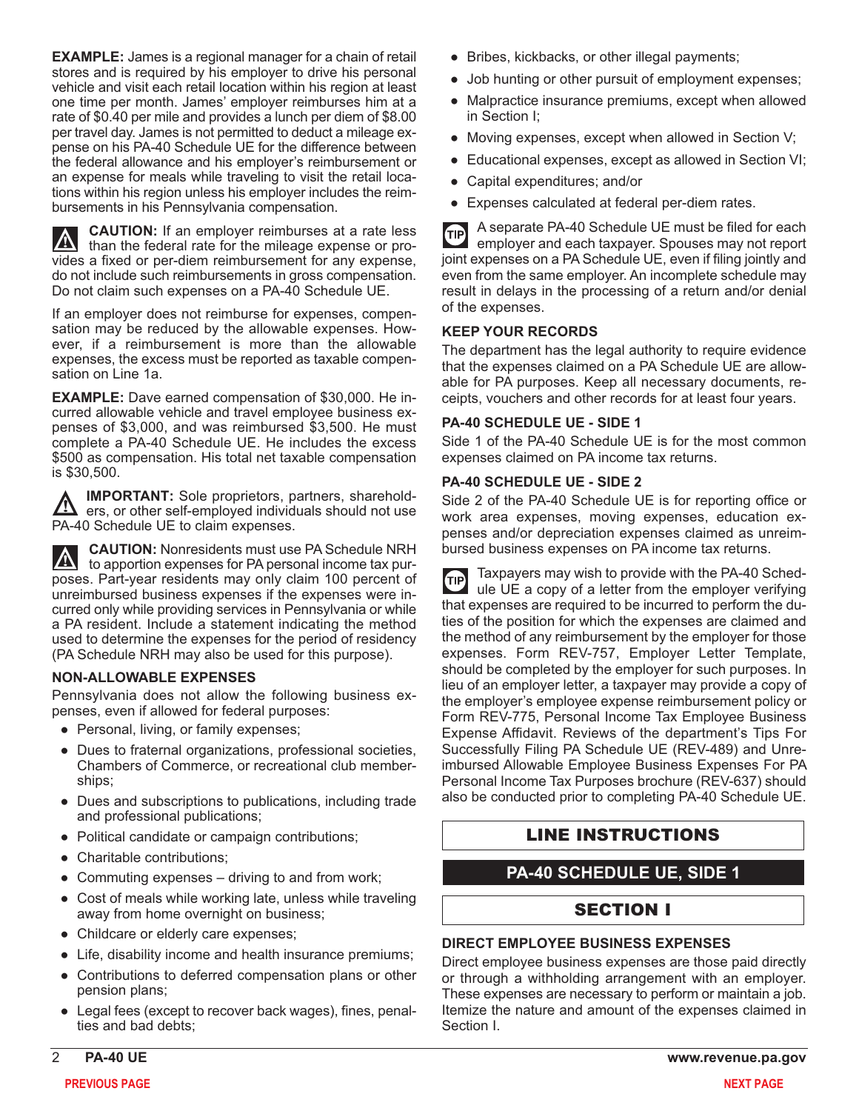**EXAMPLE:** James is a regional manager for a chain of retail stores and is required by his employer to drive his personal vehicle and visit each retail location within his region at least one time per month. James' employer reimburses him at a rate of \$0.40 per mile and provides a lunch per diem of \$8.00 per travel day. James is not permitted to deduct a mileage expense on his PA-40 Schedule UE for the difference between the federal allowance and his employer's reimbursement or an expense for meals while traveling to visit the retail locations within his region unless his employer includes the reimbursements in his Pennsylvania compensation.

**CAUTION:** If an employer reimburses at a rate less  $\Lambda$ than the federal rate for the mileage expense or provides a fixed or per-diem reimbursement for any expense, do not include such reimbursements in gross compensation.

If an employer does not reimburse for expenses, compensation may be reduced by the allowable expenses. However, if a reimbursement is more than the allowable expenses, the excess must be reported as taxable compensation on Line 1a.

Do not claim such expenses on a PA-40 Schedule UE.

**EXAMPLE:** Dave earned compensation of \$30,000. He incurred allowable vehicle and travel employee business expenses of \$3,000, and was reimbursed \$3,500. He must complete a PA-40 Schedule UE. He includes the excess \$500 as compensation. His total net taxable compensation is \$30,500.

**IMPORTANT:** Sole proprietors, partners, sharehold-<u> Ду</u> ers, or other self-employed individuals should not use PA-40 Schedule UE to claim expenses.

**CAUTION:** Nonresidents must use PA Schedule NRH  $|\nabla$ to apportion expenses for PA personal income tax purposes. Part-year residents may only claim 100 percent of unreimbursed business expenses if the expenses were incurred only while providing services in Pennsylvania or while a PA resident. Include a statement indicating the method used to determine the expenses for the period of residency (PA Schedule NRH may also be used for this purpose).

#### **NON-ALLOWABLE EXPENSES**

Pennsylvania does not allow the following business expenses, even if allowed for federal purposes:

- Personal, living, or family expenses;
- Dues to fraternal organizations, professional societies, Chambers of Commerce, or recreational club memberships;
- Dues and subscriptions to publications, including trade and professional publications;
- Political candidate or campaign contributions;
- Charitable contributions;
- Commuting expenses driving to and from work;
- Cost of meals while working late, unless while traveling away from home overnight on business;
- Childcare or elderly care expenses;
- Life, disability income and health insurance premiums;
- Contributions to deferred compensation plans or other pension plans;
- Legal fees (except to recover back wages), fines, penalties and bad debts;
- Bribes, kickbacks, or other illegal payments;
- Job hunting or other pursuit of employment expenses;
- Malpractice insurance premiums, except when allowed in Section I;
- Moving expenses, except when allowed in Section V;
- Educational expenses, except as allowed in Section VI;
- Capital expenditures; and/or
- Expenses calculated at federal per-diem rates.

A separate PA-40 Schedule UE must be filed for each **GIP** employer and each taxpayer. Spouses may not report joint expenses on a PA Schedule UE, even if filing jointly and even from the same employer. An incomplete schedule may result in delays in the processing of a return and/or denial of the expenses.

#### **KEEP YOUR RECORDS**

The department has the legal authority to require evidence that the expenses claimed on a PA Schedule UE are allowable for PA purposes. Keep all necessary documents, receipts, vouchers and other records for at least four years.

#### **PA-40 SCHEDULE UE - SIDE 1**

Side 1 of the PA-40 Schedule UE is for the most common expenses claimed on PA income tax returns.

#### **PA-40 SCHEDULE UE - SIDE 2**

Side 2 of the PA-40 Schedule UE is for reporting office or work area expenses, moving expenses, education expenses and/or depreciation expenses claimed as unreimbursed business expenses on PA income tax returns.

Taxpayers may wish to provide with the PA-40 Sched-**GIP** ule UE a copy of a letter from the employer verifying that expenses are required to be incurred to perform the duties of the position for which the expenses are claimed and the method of any reimbursement by the employer for those expenses. Form REV-757, Employer Letter Template, should be completed by the employer for such purposes. In lieu of an employer letter, a taxpayer may provide a copy of the employer's employee expense reimbursement policy or Form REV-775, Personal Income Tax Employee Business Expense Affidavit. Reviews of the department's Tips For Successfully Filing PA Schedule UE (REV-489) and Unreimbursed Allowable Employee Business Expenses For PA Personal Income Tax Purposes brochure (REV-637) should also be conducted prior to completing PA-40 Schedule UE.

## LINE INSTRUCTIONS

## **PA-40 SCHEDULE UE, SIDE 1**

## SECTION I

#### **DIRECT EMPLOYEE BUSINESS EXPENSES**

Direct employee business expenses are those paid directly or through a withholding arrangement with an employer. These expenses are necessary to perform or maintain a job. Itemize the nature and amount of the expenses claimed in Section I.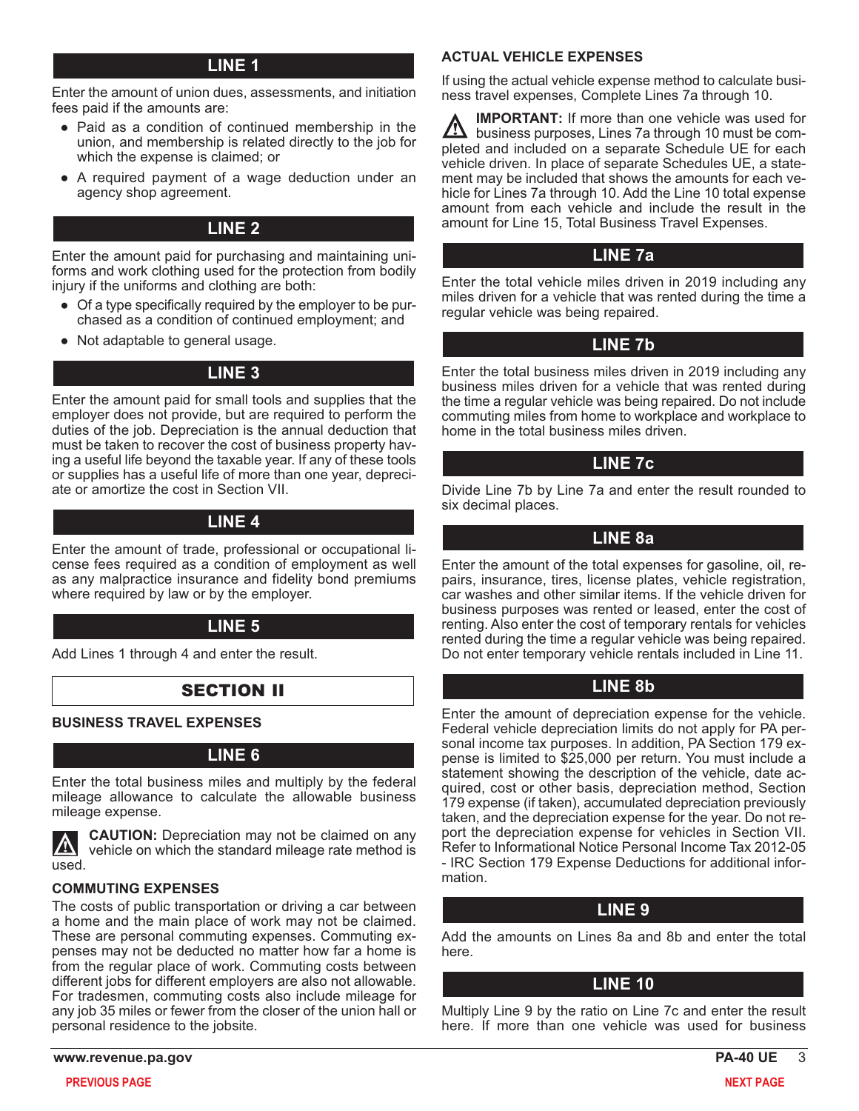## **LINE 1**

Enter the amount of union dues, assessments, and initiation fees paid if the amounts are:

- Paid as a condition of continued membership in the union, and membership is related directly to the job for which the expense is claimed; or
- A required payment of a wage deduction under an agency shop agreement.

## **LINE 2**

Enter the amount paid for purchasing and maintaining uniforms and work clothing used for the protection from bodily injury if the uniforms and clothing are both:

- Of a type specifically required by the employer to be purchased as a condition of continued employment; and
- Not adaptable to general usage.

## **LINE 3**

Enter the amount paid for small tools and supplies that the employer does not provide, but are required to perform the duties of the job. Depreciation is the annual deduction that must be taken to recover the cost of business property having a useful life beyond the taxable year. If any of these tools or supplies has a useful life of more than one year, depreciate or amortize the cost in Section VII.

## **LINE 4**

Enter the amount of trade, professional or occupational license fees required as a condition of employment as well as any malpractice insurance and fidelity bond premiums where required by law or by the employer.

## **LINE 5**

Add Lines 1 through 4 and enter the result.

## SECTION II

#### **BUSINESS TRAVEL EXPENSES**

#### **LINE 6**

Enter the total business miles and multiply by the federal mileage allowance to calculate the allowable business mileage expense.



**CAUTION:** Depreciation may not be claimed on any vehicle on which the standard mileage rate method is

#### **COMMUTING EXPENSES**

The costs of public transportation or driving a car between a home and the main place of work may not be claimed. These are personal commuting expenses. Commuting expenses may not be deducted no matter how far a home is from the regular place of work. Commuting costs between different jobs for different employers are also not allowable. For tradesmen, commuting costs also include mileage for any job 35 miles or fewer from the closer of the union hall or personal residence to the jobsite.

#### **ACTUAL VEHICLE EXPENSES**

If using the actual vehicle expense method to calculate business travel expenses, Complete Lines 7a through 10.

**IMPORTANT:** If more than one vehicle was used for business purposes, Lines 7a through 10 must be completed and included on a separate Schedule UE for each vehicle driven. In place of separate Schedules UE, a statement may be included that shows the amounts for each vehicle for Lines 7a through 10. Add the Line 10 total expense amount from each vehicle and include the result in the amount for Line 15, Total Business Travel Expenses.

## **LINE 7a**

Enter the total vehicle miles driven in 2019 including any miles driven for a vehicle that was rented during the time a regular vehicle was being repaired.

## **LINE 7b**

Enter the total business miles driven in 2019 including any business miles driven for a vehicle that was rented during the time a regular vehicle was being repaired. Do not include commuting miles from home to workplace and workplace to home in the total business miles driven.

## **LINE 7c**

Divide Line 7b by Line 7a and enter the result rounded to six decimal places.

## **LINE 8a**

Enter the amount of the total expenses for gasoline, oil, repairs, insurance, tires, license plates, vehicle registration, car washes and other similar items. If the vehicle driven for business purposes was rented or leased, enter the cost of renting. Also enter the cost of temporary rentals for vehicles rented during the time a regular vehicle was being repaired. Do not enter temporary vehicle rentals included in Line 11.

## **LINE 8b**

Enter the amount of depreciation expense for the vehicle. Federal vehicle depreciation limits do not apply for PA personal income tax purposes. In addition, PA Section 179 expense is limited to \$25,000 per return. You must include a statement showing the description of the vehicle, date acquired, cost or other basis, depreciation method, Section 179 expense (if taken), accumulated depreciation previously taken, and the depreciation expense for the year. Do not report the depreciation expense for vehicles in Section VII. Refer to Informational Notice Personal Income Tax 2012-05 - IRC Section 179 Expense Deductions for additional information.

#### **LINE 9**

Add the amounts on Lines 8a and 8b and enter the total here.

## **LINE 10**

Multiply Line 9 by the ratio on Line 7c and enter the result here. If more than one vehicle was used for business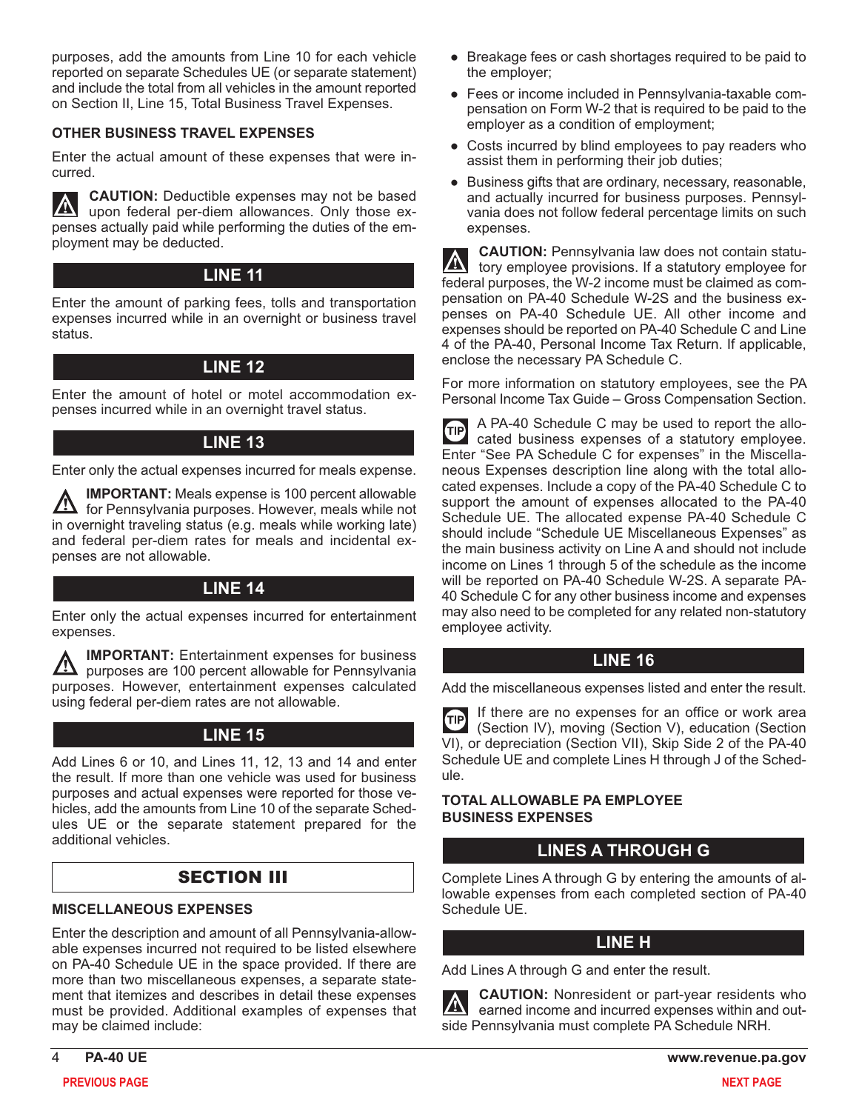purposes, add the amounts from Line 10 for each vehicle reported on separate Schedules UE (or separate statement) and include the total from all vehicles in the amount reported on Section II, Line 15, Total Business Travel Expenses.

#### **OTHER BUSINESS TRAVEL EXPENSES**

Enter the actual amount of these expenses that were incurred.

**CAUTION:** Deductible expenses may not be based upon federal per-diem allowances. Only those expenses actually paid while performing the duties of the employment may be deducted.

## **LINE 11**

Enter the amount of parking fees, tolls and transportation expenses incurred while in an overnight or business travel status.

## **LINE 12**

Enter the amount of hotel or motel accommodation expenses incurred while in an overnight travel status.

## **LINE 13**

Enter only the actual expenses incurred for meals expense.

**IMPORTANT:** Meals expense is 100 percent allowable <u>/I\</u> for Pennsylvania purposes. However, meals while not in overnight traveling status (e.g. meals while working late) and federal per-diem rates for meals and incidental expenses are not allowable.

## **LINE 14**

Enter only the actual expenses incurred for entertainment expenses.

**IMPORTANT:** Entertainment expenses for business  $\mathbf{I}$  purposes are 100 percent allowable for Pennsylvania purposes. However, entertainment expenses calculated using federal per-diem rates are not allowable.

## **LINE 15**

Add Lines 6 or 10, and Lines 11, 12, 13 and 14 and enter the result. If more than one vehicle was used for business purposes and actual expenses were reported for those vehicles, add the amounts from Line 10 of the separate Schedules UE or the separate statement prepared for the additional vehicles.

## SECTION III

#### **MISCELLANEOUS EXPENSES**

Enter the description and amount of all Pennsylvania-allowable expenses incurred not required to be listed elsewhere on PA-40 Schedule UE in the space provided. If there are more than two miscellaneous expenses, a separate statement that itemizes and describes in detail these expenses must be provided. Additional examples of expenses that may be claimed include:

- Breakage fees or cash shortages required to be paid to the employer;
- Fees or income included in Pennsylvania-taxable compensation on Form W-2 that is required to be paid to the employer as a condition of employment;
- Costs incurred by blind employees to pay readers who assist them in performing their job duties;
- Business gifts that are ordinary, necessary, reasonable, and actually incurred for business purposes. Pennsylvania does not follow federal percentage limits on such expenses.

**CAUTION:** Pennsylvania law does not contain statutory employee provisions. If a statutory employee for federal purposes, the W-2 income must be claimed as compensation on PA-40 Schedule W-2S and the business expenses on PA-40 Schedule UE. All other income and expenses should be reported on PA-40 Schedule C and Line 4 of the PA-40, Personal Income Tax Return. If applicable, enclose the necessary PA Schedule C.

[For more information on statutory employees, see the PA](https://www.revenue.pa.gov/FormsandPublications/PAPersonalIncomeTaxGuide/Pages/Gross-Compensation.aspx) Personal Income Tax Guide – Gross Compensation Section.

A PA-40 Schedule C may be used to report the allo-**TIP** cated business expenses of a statutory employee. Enter "See PA Schedule C for expenses" in the Miscellaneous Expenses description line along with the total allocated expenses. Include a copy of the PA-40 Schedule C to support the amount of expenses allocated to the PA-40 Schedule UE. The allocated expense PA-40 Schedule C should include "Schedule UE Miscellaneous Expenses" as the main business activity on Line A and should not include income on Lines 1 through 5 of the schedule as the income will be reported on PA-40 Schedule W-2S. A separate PA-40 Schedule C for any other business income and expenses may also need to be completed for any related non-statutory employee activity.

## **LINE 16**

Add the miscellaneous expenses listed and enter the result.

If there are no expenses for an office or work area **GIP** (Section IV), moving (Section V), education (Section VI), or depreciation (Section VII), Skip Side 2 of the PA-40 Schedule UE and complete Lines H through J of the Schedule.

#### **TOTAL ALLOWABLE PA EMPLOYEE BUSINESS EXPENSES**

## **LINES A THROUGH G**

Complete Lines A through G by entering the amounts of allowable expenses from each completed section of PA-40 Schedule UE.

## **LINE H**

Add Lines A through G and enter the result.

**CAUTION:** Nonresident or part-year residents who  $\mathbf{\Sigma}$ earned income and incurred expenses within and outside Pennsylvania must complete PA Schedule NRH.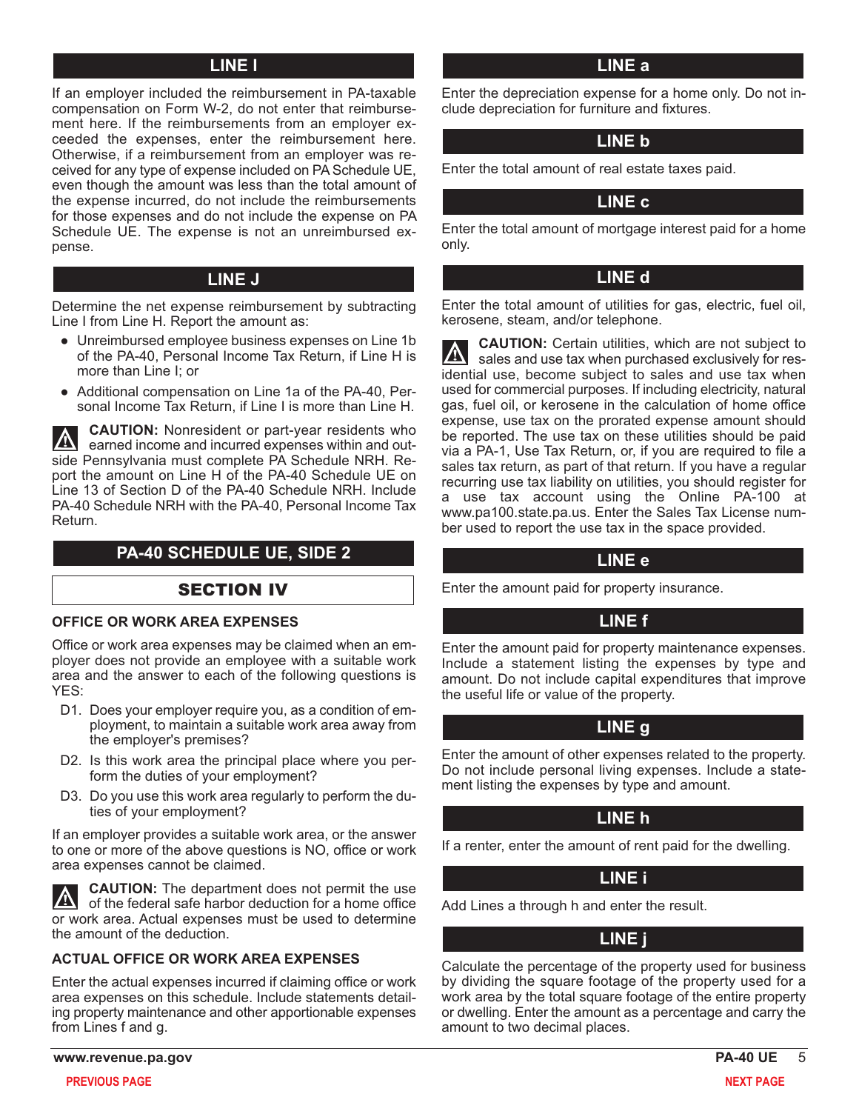## **LINE I**

If an employer included the reimbursement in PA-taxable compensation on Form W-2, do not enter that reimbursement here. If the reimbursements from an employer exceeded the expenses, enter the reimbursement here. Otherwise, if a reimbursement from an employer was received for any type of expense included on PA Schedule UE, even though the amount was less than the total amount of the expense incurred, do not include the reimbursements for those expenses and do not include the expense on PA Schedule UE. The expense is not an unreimbursed expense.

#### **LINE J**

Determine the net expense reimbursement by subtracting Line I from Line H. Report the amount as:

- Unreimbursed employee business expenses on Line 1b of the PA-40, Personal Income Tax Return, if Line H is more than Line I; or
- Additional compensation on Line 1a of the PA-40, Personal Income Tax Return, if Line I is more than Line H.

**CAUTION:** Nonresident or part-year residents who  $|\mathbb{A}|$ earned income and incurred expenses within and outside Pennsylvania must complete PA Schedule NRH. Report the amount on Line H of the PA-40 Schedule UE on Line 13 of Section D of the PA-40 Schedule NRH. Include PA-40 Schedule NRH with the PA-40, Personal Income Tax Return.

## **PA-40 SCHEDULE UE, SIDE 2**

## SECTION IV

#### **OFFICE OR WORK AREA EXPENSES**

Office or work area expenses may be claimed when an employer does not provide an employee with a suitable work area and the answer to each of the following questions is YES:

- D1. Does your employer require you, as a condition of employment, to maintain a suitable work area away from the employer's premises?
- D2. Is this work area the principal place where you perform the duties of your employment?
- D3. Do you use this work area regularly to perform the duties of your employment?

If an employer provides a suitable work area, or the answer to one or more of the above questions is NO, office or work area expenses cannot be claimed.

**CAUTION:** The department does not permit the use W of the federal safe harbor deduction for a home office or work area. Actual expenses must be used to determine the amount of the deduction.

#### **ACTUAL OFFICE OR WORK AREA EXPENSES**

Enter the actual expenses incurred if claiming office or work area expenses on this schedule. Include statements detailing property maintenance and other apportionable expenses from Lines f and g.

Enter the depreciation expense for a home only. Do not include depreciation for furniture and fixtures.

## **LINE b**

Enter the total amount of real estate taxes paid.

## **LINE c**

Enter the total amount of mortgage interest paid for a home only.

## **LINE d**

Enter the total amount of utilities for gas, electric, fuel oil, kerosene, steam, and/or telephone.

**CAUTION:** Certain utilities, which are not subject to sales and use tax when purchased exclusively for residential use, become subject to sales and use tax when used for commercial purposes. If including electricity, natural gas, fuel oil, or kerosene in the calculation of home office expense, use tax on the prorated expense amount should be reported. The use tax on these utilities should be paid via a PA-1, Use Tax Return, or, if you are required to file a sales tax return, as part of that return. If you have a regular recurring use tax liability on utilities, you should register for a use tax account using the Online PA-100 at www.pa100.state.pa.us. Enter the Sales Tax License number used to report the use tax in the space provided.

#### **LINE e**

Enter the amount paid for property insurance.

## **LINE f**

Enter the amount paid for property maintenance expenses. Include a statement listing the expenses by type and amount. Do not include capital expenditures that improve the useful life or value of the property.

## **LINE g**

Enter the amount of other expenses related to the property. Do not include personal living expenses. Include a statement listing the expenses by type and amount.

## **LINE h**

If a renter, enter the amount of rent paid for the dwelling.

## **LINE i**

Add Lines a through h and enter the result.

## **LINE j**

Calculate the percentage of the property used for business by dividing the square footage of the property used for a work area by the total square footage of the entire property or dwelling. Enter the amount as a percentage and carry the amount to two decimal places.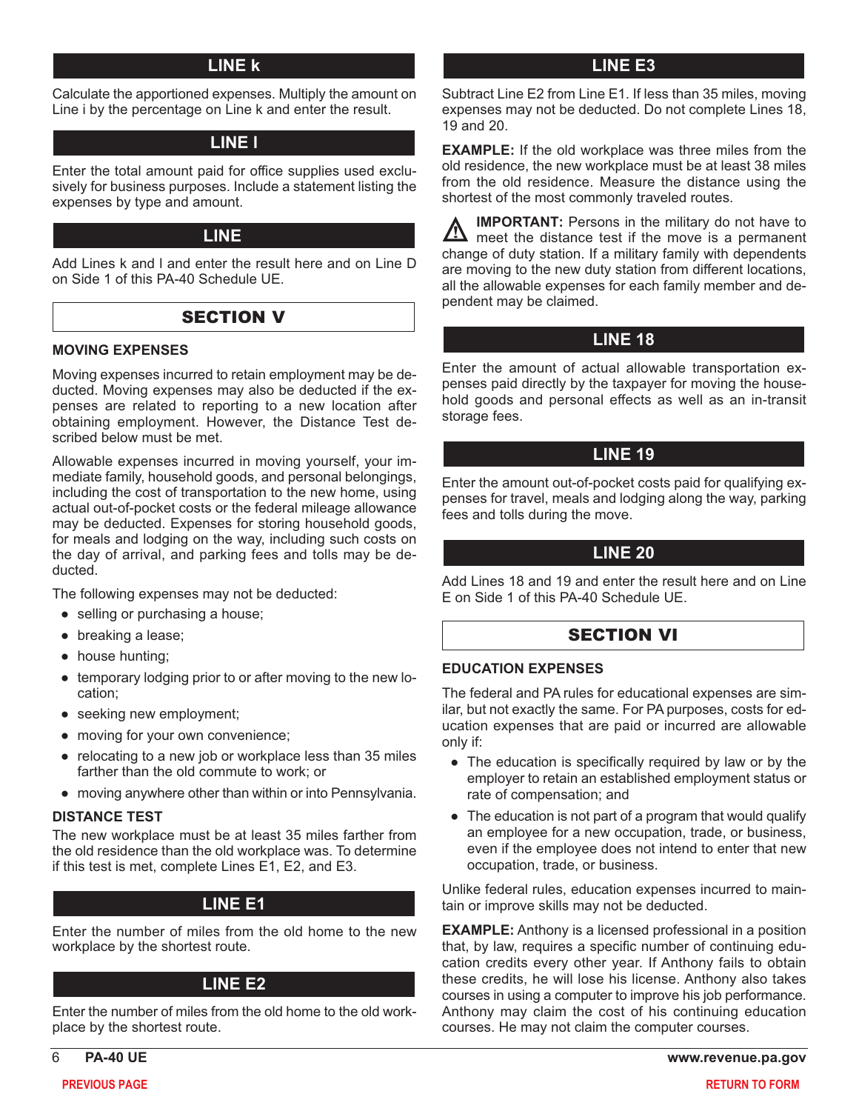Calculate the apportioned expenses. Multiply the amount on Line i by the percentage on Line k and enter the result.

## **LINE l**

Enter the total amount paid for office supplies used exclusively for business purposes. Include a statement listing the expenses by type and amount.

#### **LINE 17**

Add Lines k and l and enter the result here and on Line D on Side 1 of this PA-40 Schedule UE.

## **SECTION V**

#### **MOVING EXPENSES**

Moving expenses incurred to retain employment may be deducted. Moving expenses may also be deducted if the expenses are related to reporting to a new location after obtaining employment. However, the Distance Test described below must be met.

Allowable expenses incurred in moving yourself, your immediate family, household goods, and personal belongings, including the cost of transportation to the new home, using actual out-of-pocket costs or the federal mileage allowance may be deducted. Expenses for storing household goods, for meals and lodging on the way, including such costs on the day of arrival, and parking fees and tolls may be deducted.

The following expenses may not be deducted:

- selling or purchasing a house;
- breaking a lease;
- house hunting;
- temporary lodging prior to or after moving to the new location;
- seeking new employment;
- moving for your own convenience;
- relocating to a new job or workplace less than 35 miles farther than the old commute to work; or
- moving anywhere other than within or into Pennsylvania.

#### **DISTANCE TEST**

The new workplace must be at least 35 miles farther from the old residence than the old workplace was. To determine if this test is met, complete Lines E1, E2, and E3.

## **LINE E1**

Enter the number of miles from the old home to the new workplace by the shortest route.

#### **LINE E2**

Enter the number of miles from the old home to the old workplace by the shortest route.

#### **LINE k LINE E3**

Subtract Line E2 from Line E1. If less than 35 miles, moving expenses may not be deducted. Do not complete Lines 18, 19 and 20.

**EXAMPLE:** If the old workplace was three miles from the old residence, the new workplace must be at least 38 miles from the old residence. Measure the distance using the shortest of the most commonly traveled routes.

| <b>IMPORTANT:</b> Persons in the military do not have to                                                      |
|---------------------------------------------------------------------------------------------------------------|
| <b>A IMPORTANT:</b> Persons in the military du riot nave to meet the distance test if the move is a permanent |
| change of duty station. If a military family with dependents                                                  |
| are moving to the new duty station from different locations,                                                  |
| all the allowable expenses for each family member and de-                                                     |
| pendent may be claimed.                                                                                       |

## **LINE 18**

Enter the amount of actual allowable transportation expenses paid directly by the taxpayer for moving the household goods and personal effects as well as an in-transit storage fees.

## **LINE 19**

Enter the amount out-of-pocket costs paid for qualifying expenses for travel, meals and lodging along the way, parking fees and tolls during the move.

#### **LINE 20**

Add Lines 18 and 19 and enter the result here and on Line E on Side 1 of this PA-40 Schedule UE.

## SECTION VI

#### **EDUCATION EXPENSES**

The federal and PA rules for educational expenses are similar, but not exactly the same. For PA purposes, costs for education expenses that are paid or incurred are allowable only if:

- The education is specifically required by law or by the employer to retain an established employment status or rate of compensation; and
- The education is not part of a program that would qualify an employee for a new occupation, trade, or business, even if the employee does not intend to enter that new occupation, trade, or business.

Unlike federal rules, education expenses incurred to maintain or improve skills may not be deducted.

**EXAMPLE:** Anthony is a licensed professional in a position that, by law, requires a specific number of continuing education credits every other year. If Anthony fails to obtain these credits, he will lose his license. Anthony also takes courses in using a computer to improve his job performance. Anthony may claim the cost of his continuing education courses. He may not claim the computer courses.